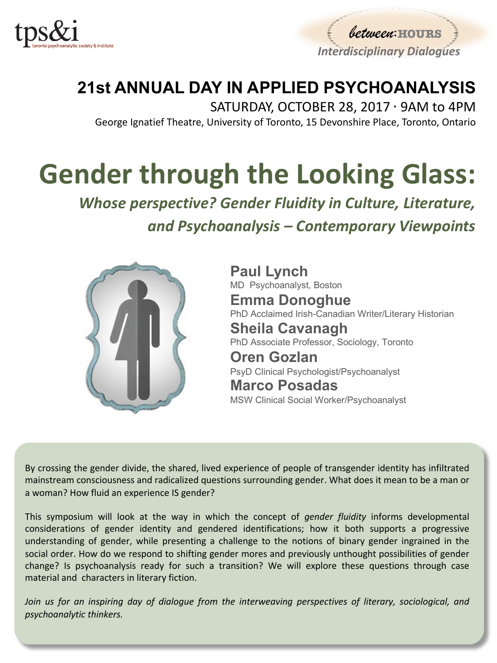

between: HOURS *Interdisciplinary Dialogues* 

## **21st ANNUAL DAY IN APPLIED PSYCHOANALYSIS**

SATURDAY, OCTOBER 28, 2017 ⋅ 9AM to 4PM George Ignatief Theatre, University of Toronto, 15 Devonshire Place, Toronto, Ontario

# **Gender through the Looking Glass:**

**Whose perspective? Gender Fluidity in Culture, Literature,** *and Psychoanalysis – Contemporary Viewpoints*



**Paul Lynch**  MD Psychoanalyst, Boston **Emma Donoghue**  PhD Acclaimed Irish-Canadian Writer/Literary Historian **Sheila Cavanagh**  PhD Associate Professor, Sociology, Toronto **Oren Gozlan** PsyD Clinical Psychologist/Psychoanalyst

**Marco Posadas**  MSW Clinical Social Worker/Psychoanalyst

By crossing the gender divide, the shared, lived experience of people of transgender identity has infiltrated mainstream consciousness and radicalized questions surrounding gender. What does it mean to be a man or a woman? How fluid an experience IS gender?

This symposium will look at the way in which the concept of *gender fluidity* informs developmental considerations of gender identity and gendered identifications; how it both supports a progressive understanding of gender, while presenting a challenge to the notions of binary gender ingrained in the social order. How do we respond to shifting gender mores and previously unthought possibilities of gender change? Is psychoanalysis ready for such a transition? We will explore these questions through case material and characters in literary fiction.

*Join us for an inspiring day of dialogue from the interweaving perspectives of literary, sociological, and psychoanalytic thinkers.*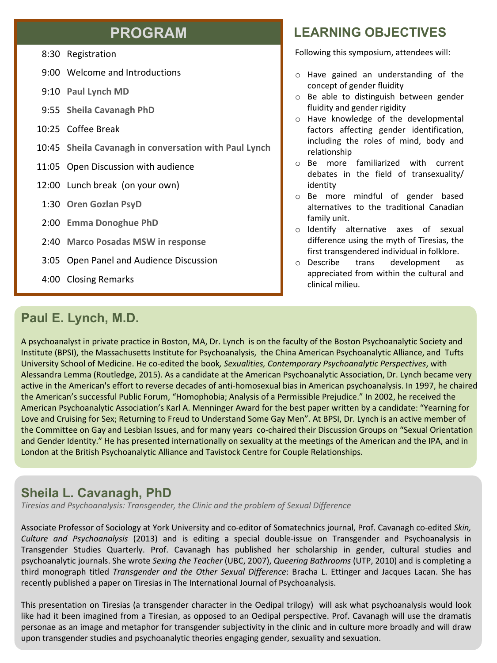#### **PROGRAM**

8:30 Registration

- 9:00 Welcome and Introductions
- 9:10 **Paul Lynch MD**
- 9:55 **Sheila Cavanagh PhD**
- 10:25 Coffee Break
- 10:45 **Sheila Cavanagh in conversation with Paul Lynch**
- 11:05 Open Discussion with audience
- 12:00 Lunch break (on your own)
- 1:30 **Oren Gozlan PsyD**
- 2:00 **Emma Donoghue PhD**
- 2:40 **Marco Posadas MSW in response**
- 3:05 Open Panel and Audience Discussion
- 4:00 Closing Remarks

#### **LEARNING OBJECTIVES**

Following this symposium, attendees will:

- o Have gained an understanding of the concept of gender fluidity
- o Be able to distinguish between gender fluidity and gender rigidity
- o Have knowledge of the developmental factors affecting gender identification, including the roles of mind, body and relationship
- o Be more familiarized with current debates in the field of transexuality/ identity
- o Be more mindful of gender based alternatives to the traditional Canadian family unit.
- o Identify alternative axes of sexual difference using the myth of Tiresias, the first transgendered individual in folklore.
- o Describe trans development as appreciated from within the cultural and clinical milieu.

#### **Paul E. Lynch, M.D.**

A psychoanalyst in private practice in Boston, MA, Dr. Lynch is on the faculty of the Boston Psychoanalytic Society and Institute (BPSI), the Massachusetts Institute for Psychoanalysis, the China American Psychoanalytic Alliance, and Tufts University School of Medicine. He co-edited the book, Sexualities, Contemporary Psychoanalytic Perspectives, with Alessandra Lemma (Routledge, 2015). As a candidate at the American Psychoanalytic Association, Dr. Lynch became very active in the American's effort to reverse decades of anti-homosexual bias in American psychoanalysis. In 1997, he chaired the American's successful Public Forum, "Homophobia; Analysis of a Permissible Prejudice." In 2002, he received the American Psychoanalytic Association's Karl A. Menninger Award for the best paper written by a candidate: "Yearning for Love and Cruising for Sex; Returning to Freud to Understand Some Gay Men". At BPSI, Dr. Lynch is an active member of the Committee on Gay and Lesbian Issues, and for many years co-chaired their Discussion Groups on "Sexual Orientation and Gender Identity." He has presented internationally on sexuality at the meetings of the American and the IPA, and in London at the British Psychoanalytic Alliance and Tavistock Centre for Couple Relationships.

#### **Sheila L. Cavanagh, PhD**

*Tiresias and Psychoanalysis: Transgender, the Clinic and the problem of Sexual Difference*

Associate Professor of Sociology at York University and co-editor of Somatechnics journal, Prof. Cavanagh co-edited *Skin, Culture and Psychoanalysis* (2013) and is editing a special double-issue on Transgender and Psychoanalysis in Transgender Studies Quarterly. Prof. Cavanagh has published her scholarship in gender, cultural studies and psychoanalytic journals. She wrote *Sexing the Teacher* (UBC, 2007), *Queering Bathrooms* (UTP, 2010) and is completing a third monograph titled *Transgender and the Other Sexual Difference*: Bracha L. Ettinger and Jacques Lacan. She has recently published a paper on Tiresias in The International Journal of Psychoanalysis.

This presentation on Tiresias (a transgender character in the Oedipal trilogy) will ask what psychoanalysis would look like had it been imagined from a Tiresian, as opposed to an Oedipal perspective. Prof. Cavanagh will use the dramatis personae as an image and metaphor for transgender subjectivity in the clinic and in culture more broadly and will draw upon transgender studies and psychoanalytic theories engaging gender, sexuality and sexuation.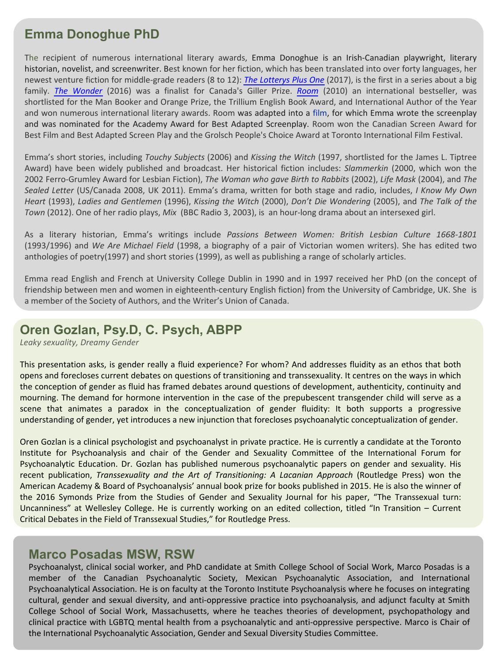#### **Emma Donoghue PhD**

The recipient of numerous international literary awards, Emma Donoghue is an Irish-Canadian playwright, literary historian, novelist, and screenwriter. Best known for her fiction, which has been translated into over forty languages, her newest venture fiction for middle-grade readers (8 to 12): *The Lotterys Plus One* (2017), is the first in a series about a big family. *The Wonder* (2016) was a finalist for Canada's Giller Prize. *Room* (2010) an international bestseller, was shortlisted for the Man Booker and Orange Prize, the Trillium English Book Award, and International Author of the Year and won numerous international literary awards. Room was adapted into a film, for which Emma wrote the screenplay and was nominated for the Academy Award for Best Adapted Screenplay. Room won the Canadian Screen Award for Best Film and Best Adapted Screen Play and the Grolsch People's Choice Award at Toronto International Film Festival.

Emma's short stories, including *Touchy Subjects* (2006) and *Kissing the Witch* (1997, shortlisted for the James L. Tiptree Award) have been widely published and broadcast. Her historical fiction includes: *Slammerkin* (2000, which won the 2002 Ferro-Grumley Award for Lesbian Fiction), *The Woman who gave Birth to Rabbits* (2002), *Life Mask* (2004), and *The Sealed Letter* (US/Canada 2008, UK 2011). Emma's drama, written for both stage and radio, includes, *I Know My Own Heart* (1993), *Ladies and Gentlemen* (1996), *Kissing the Witch* (2000), *Don't Die Wondering* (2005), and *The Talk of the Town* (2012). One of her radio plays, *Mix* (BBC Radio 3, 2003), is an hour-long drama about an intersexed girl.

As a literary historian, Emma's writings include *Passions Between Women: British Lesbian Culture 1668-1801* (1993/1996) and *We Are Michael Field* (1998, a biography of a pair of Victorian women writers). She has edited two anthologies of poetry(1997) and short stories (1999), as well as publishing a range of scholarly articles.

Emma read English and French at University College Dublin in 1990 and in 1997 received her PhD (on the concept of friendship between men and women in eighteenth-century English fiction) from the University of Cambridge, UK. She is a member of the Society of Authors, and the Writer's Union of Canada.

#### **Oren Gozlan, Psy.D, C. Psych, ABPP**

*Leaky sexuality, Dreamy Gender*

This presentation asks, is gender really a fluid experience? For whom? And addresses fluidity as an ethos that both opens and forecloses current debates on questions of transitioning and transsexuality. It centres on the ways in which the conception of gender as fluid has framed debates around questions of development, authenticity, continuity and mourning. The demand for hormone intervention in the case of the prepubescent transgender child will serve as a scene that animates a paradox in the conceptualization of gender fluidity: It both supports a progressive understanding of gender, yet introduces a new injunction that forecloses psychoanalytic conceptualization of gender.

Oren Gozlan is a clinical psychologist and psychoanalyst in private practice. He is currently a candidate at the Toronto Institute for Psychoanalysis and chair of the Gender and Sexuality Committee of the International Forum for Psychoanalytic Education. Dr. Gozlan has published numerous psychoanalytic papers on gender and sexuality. His recent publication, *Transsexuality and the Art of Transitioning: A Lacanian Approach* (Routledge Press) won the American Academy & Board of Psychoanalysis' annual book prize for books published in 2015. He is also the winner of the 2016 Symonds Prize from the Studies of Gender and Sexuality Journal for his paper, "The Transsexual turn: Uncanniness" at Wellesley College. He is currently working on an edited collection, titled "In Transition – Current Critical Debates in the Field of Transsexual Studies," for Routledge Press.

#### **Marco Posadas MSW, RSW**

Psychoanalyst, clinical social worker, and PhD candidate at Smith College School of Social Work, Marco Posadas is a member of the Canadian Psychoanalytic Society, Mexican Psychoanalytic Association, and International Psychoanalytical Association. He is on faculty at the Toronto Institute Psychoanalysis where he focuses on integrating cultural, gender and sexual diversity, and anti-oppressive practice into psychoanalysis, and adjunct faculty at Smith College School of Social Work, Massachusetts, where he teaches theories of development, psychopathology and clinical practice with LGBTQ mental health from a psychoanalytic and anti-oppressive perspective. Marco is Chair of the International Psychoanalytic Association, Gender and Sexual Diversity Studies Committee.